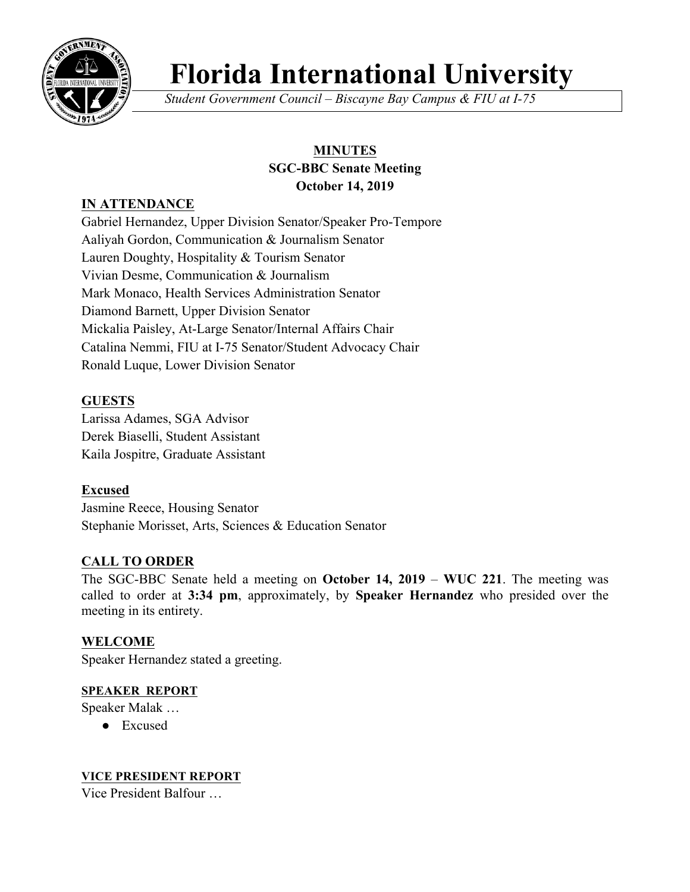

# **Florida International University**

*Student Government Council – Biscayne Bay Campus & FIU at I-75*

## **MINUTES SGC-BBC Senate Meeting October 14, 2019**

## **IN ATTENDANCE**

Gabriel Hernandez, Upper Division Senator/Speaker Pro-Tempore Aaliyah Gordon, Communication & Journalism Senator Lauren Doughty, Hospitality & Tourism Senator Vivian Desme, Communication & Journalism Mark Monaco, Health Services Administration Senator Diamond Barnett, Upper Division Senator Mickalia Paisley, At-Large Senator/Internal Affairs Chair Catalina Nemmi, FIU at I-75 Senator/Student Advocacy Chair Ronald Luque, Lower Division Senator

## **GUESTS**

Larissa Adames, SGA Advisor Derek Biaselli, Student Assistant Kaila Jospitre, Graduate Assistant

## **Excused**

Jasmine Reece, Housing Senator Stephanie Morisset, Arts, Sciences & Education Senator

## **CALL TO ORDER**

The SGC-BBC Senate held a meeting on **October 14, 2019** – **WUC 221**. The meeting was called to order at **3:34 pm**, approximately, by **Speaker Hernandez** who presided over the meeting in its entirety.

## **WELCOME**

Speaker Hernandez stated a greeting.

## **SPEAKER REPORT**

Speaker Malak …

● Excused

## **VICE PRESIDENT REPORT**

Vice President Balfour …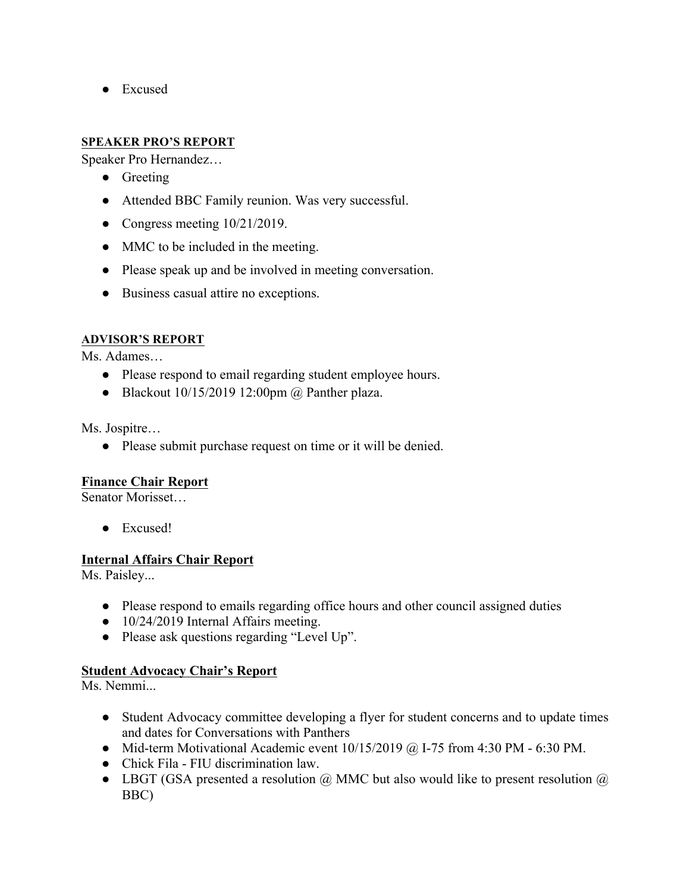● Excused

#### **SPEAKER PRO'S REPORT**

Speaker Pro Hernandez…

- Greeting
- Attended BBC Family reunion. Was very successful.
- Congress meeting  $10/21/2019$ .
- MMC to be included in the meeting.
- Please speak up and be involved in meeting conversation.
- Business casual attire no exceptions.

#### **ADVISOR'S REPORT**

Ms. Adames…

- Please respond to email regarding student employee hours.
- Blackout  $10/15/2019$  12:00pm  $\omega$  Panther plaza.

Ms. Jospitre…

● Please submit purchase request on time or it will be denied.

#### **Finance Chair Report**

Senator Morisset…

● Excused!

#### **Internal Affairs Chair Report**

Ms. Paisley...

- Please respond to emails regarding office hours and other council assigned duties
- 10/24/2019 Internal Affairs meeting.
- Please ask questions regarding "Level Up".

#### **Student Advocacy Chair's Report**

Ms. Nemmi...

- Student Advocacy committee developing a flyer for student concerns and to update times and dates for Conversations with Panthers
- Mid-term Motivational Academic event  $10/15/2019$  @ I-75 from 4:30 PM 6:30 PM.
- Chick Fila FIU discrimination law.
- LBGT (GSA presented a resolution  $\omega$  MMC but also would like to present resolution  $\omega$ BBC)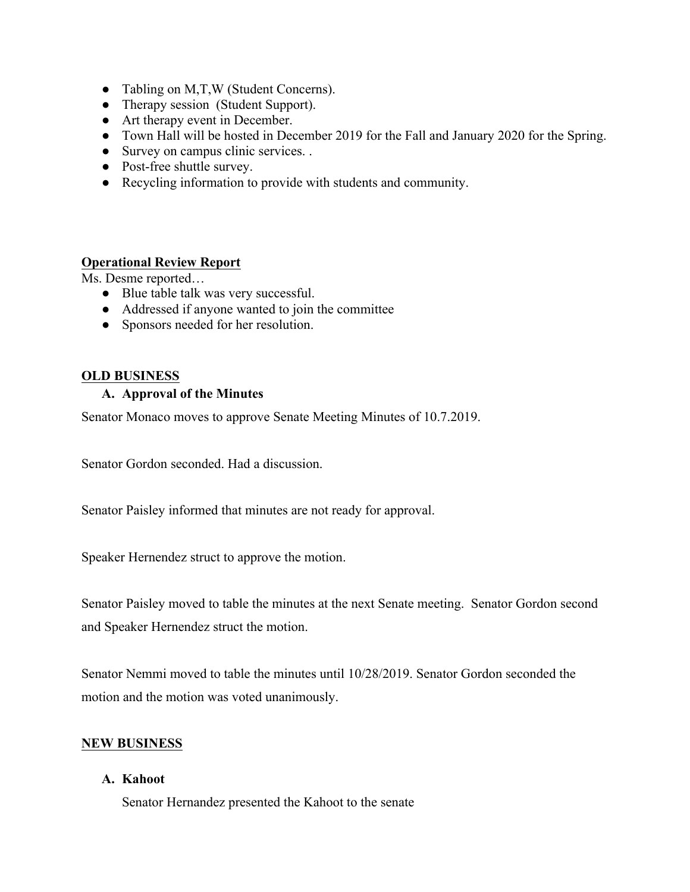- Tabling on M,T,W (Student Concerns).
- Therapy session (Student Support).
- Art therapy event in December.
- Town Hall will be hosted in December 2019 for the Fall and January 2020 for the Spring.
- Survey on campus clinic services. .
- Post-free shuttle survey.
- Recycling information to provide with students and community.

#### **Operational Review Report**

Ms. Desme reported…

- Blue table talk was very successful.
- Addressed if anyone wanted to join the committee
- Sponsors needed for her resolution.

#### **OLD BUSINESS**

#### **A. Approval of the Minutes**

Senator Monaco moves to approve Senate Meeting Minutes of 10.7.2019.

Senator Gordon seconded. Had a discussion.

Senator Paisley informed that minutes are not ready for approval.

Speaker Hernendez struct to approve the motion.

Senator Paisley moved to table the minutes at the next Senate meeting. Senator Gordon second and Speaker Hernendez struct the motion.

Senator Nemmi moved to table the minutes until 10/28/2019. Senator Gordon seconded the motion and the motion was voted unanimously.

#### **NEW BUSINESS**

#### **A. Kahoot**

Senator Hernandez presented the Kahoot to the senate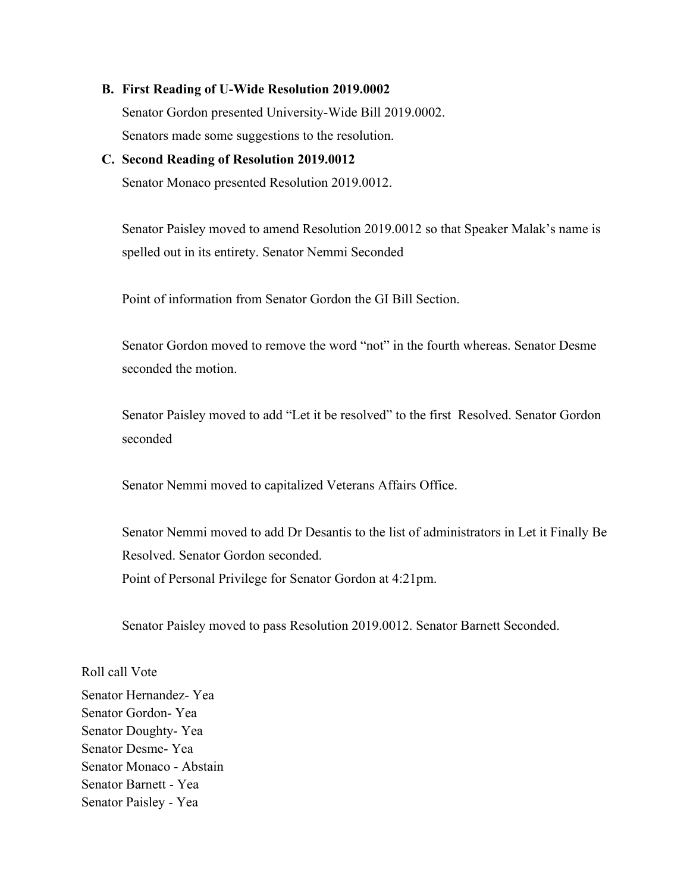#### **B. First Reading of U-Wide Resolution 2019.0002**

Senator Gordon presented University-Wide Bill 2019.0002. Senators made some suggestions to the resolution.

## **C. Second Reading of Resolution 2019.0012**

Senator Monaco presented Resolution 2019.0012.

Senator Paisley moved to amend Resolution 2019.0012 so that Speaker Malak's name is spelled out in its entirety. Senator Nemmi Seconded

Point of information from Senator Gordon the GI Bill Section.

Senator Gordon moved to remove the word "not" in the fourth whereas. Senator Desme seconded the motion.

Senator Paisley moved to add "Let it be resolved" to the first Resolved. Senator Gordon seconded

Senator Nemmi moved to capitalized Veterans Affairs Office.

Senator Nemmi moved to add Dr Desantis to the list of administrators in Let it Finally Be Resolved. Senator Gordon seconded. Point of Personal Privilege for Senator Gordon at 4:21pm.

Senator Paisley moved to pass Resolution 2019.0012. Senator Barnett Seconded.

#### Roll call Vote

Senator Hernandez- Yea Senator Gordon- Yea Senator Doughty- Yea Senator Desme- Yea Senator Monaco - Abstain Senator Barnett - Yea Senator Paisley - Yea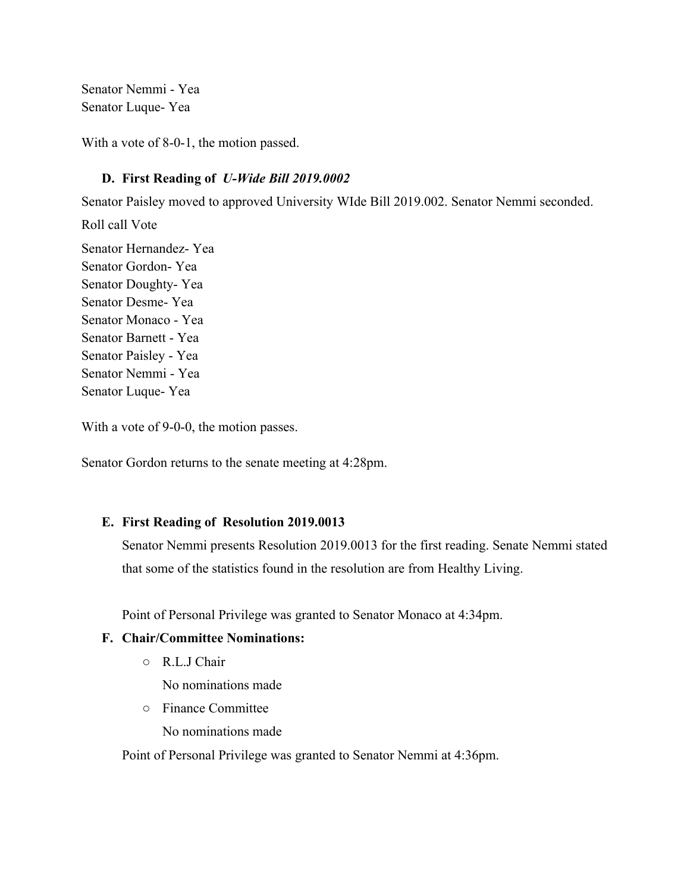Senator Nemmi - Yea Senator Luque- Yea

With a vote of 8-0-1, the motion passed.

#### **D. First Reading of** *U-Wide Bill 2019.0002*

Senator Paisley moved to approved University WIde Bill 2019.002. Senator Nemmi seconded.

Roll call Vote Senator Hernandez- Yea Senator Gordon- Yea Senator Doughty- Yea Senator Desme- Yea Senator Monaco - Yea Senator Barnett - Yea Senator Paisley - Yea Senator Nemmi - Yea Senator Luque- Yea

With a vote of 9-0-0, the motion passes.

Senator Gordon returns to the senate meeting at 4:28pm.

#### **E. First Reading of Resolution 2019.0013**

Senator Nemmi presents Resolution 2019.0013 for the first reading. Senate Nemmi stated that some of the statistics found in the resolution are from Healthy Living.

Point of Personal Privilege was granted to Senator Monaco at 4:34pm.

#### **F. Chair/Committee Nominations:**

- R.L.J Chair No nominations made
- Finance Committee

No nominations made

Point of Personal Privilege was granted to Senator Nemmi at 4:36pm.